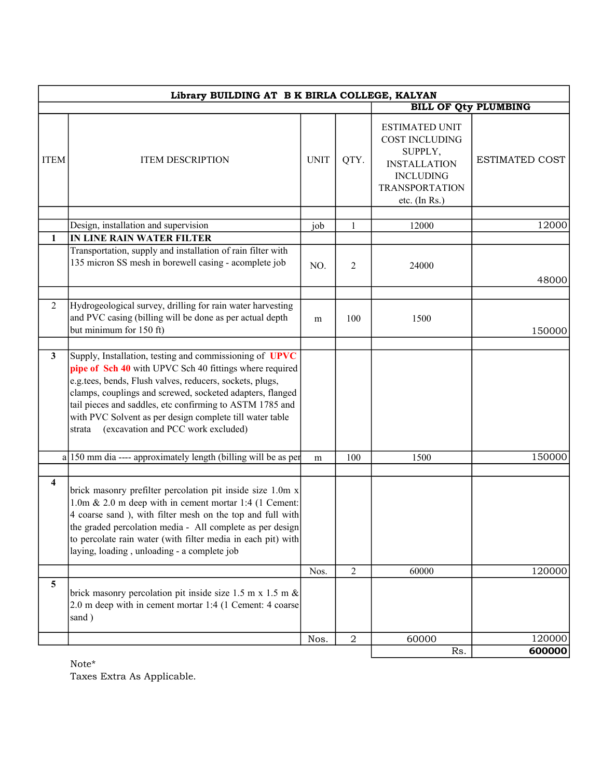| Library BUILDING AT B K BIRLA COLLEGE, KALYAN |                                                                                                                                                                                                                                                                                                                                                                                                                     |             |                |                                                                                                                                                  |                       |  |
|-----------------------------------------------|---------------------------------------------------------------------------------------------------------------------------------------------------------------------------------------------------------------------------------------------------------------------------------------------------------------------------------------------------------------------------------------------------------------------|-------------|----------------|--------------------------------------------------------------------------------------------------------------------------------------------------|-----------------------|--|
|                                               |                                                                                                                                                                                                                                                                                                                                                                                                                     |             |                | <b>BILL OF Qty PLUMBING</b>                                                                                                                      |                       |  |
| <b>ITEM</b>                                   | <b>ITEM DESCRIPTION</b>                                                                                                                                                                                                                                                                                                                                                                                             | <b>UNIT</b> | QTY.           | <b>ESTIMATED UNIT</b><br><b>COST INCLUDING</b><br>SUPPLY,<br><b>INSTALLATION</b><br><b>INCLUDING</b><br><b>TRANSPORTATION</b><br>etc. $(In Rs.)$ | <b>ESTIMATED COST</b> |  |
|                                               |                                                                                                                                                                                                                                                                                                                                                                                                                     |             |                |                                                                                                                                                  |                       |  |
| 1                                             | Design, installation and supervision                                                                                                                                                                                                                                                                                                                                                                                | job         | $\mathbf{1}$   | 12000                                                                                                                                            | 12000                 |  |
|                                               | IN LINE RAIN WATER FILTER<br>Transportation, supply and installation of rain filter with                                                                                                                                                                                                                                                                                                                            |             |                |                                                                                                                                                  |                       |  |
|                                               | 135 micron SS mesh in borewell casing - acomplete job                                                                                                                                                                                                                                                                                                                                                               | NO.         | 2              | 24000                                                                                                                                            | 48000                 |  |
|                                               |                                                                                                                                                                                                                                                                                                                                                                                                                     |             |                |                                                                                                                                                  |                       |  |
| 2                                             | Hydrogeological survey, drilling for rain water harvesting<br>and PVC casing (billing will be done as per actual depth<br>but minimum for 150 ft)                                                                                                                                                                                                                                                                   | m           | 100            | 1500                                                                                                                                             | 150000                |  |
|                                               |                                                                                                                                                                                                                                                                                                                                                                                                                     |             |                |                                                                                                                                                  |                       |  |
| $\mathbf{3}$                                  | Supply, Installation, testing and commissioning of UPVC<br>pipe of Sch 40 with UPVC Sch 40 fittings where required<br>e.g.tees, bends, Flush valves, reducers, sockets, plugs,<br>clamps, couplings and screwed, socketed adapters, flanged<br>tail pieces and saddles, etc confirming to ASTM 1785 and<br>with PVC Solvent as per design complete till water table<br>(excavation and PCC work excluded)<br>strata |             |                |                                                                                                                                                  |                       |  |
|                                               | $a$  150 mm dia ---- approximately length (billing will be as per                                                                                                                                                                                                                                                                                                                                                   | m           | 100            | 1500                                                                                                                                             | 150000                |  |
| $\overline{\mathbf{4}}$                       | brick masonry prefilter percolation pit inside size 1.0m x<br>1.0m & 2.0 m deep with in cement mortar 1:4 (1 Cement:<br>4 coarse sand ), with filter mesh on the top and full with<br>the graded percolation media - All complete as per design<br>to percolate rain water (with filter media in each pit) with<br>laying, loading, unloading - a complete job                                                      |             |                |                                                                                                                                                  |                       |  |
|                                               |                                                                                                                                                                                                                                                                                                                                                                                                                     | Nos.        | $\overline{2}$ | 60000                                                                                                                                            | 120000                |  |
| 5                                             | brick masonry percolation pit inside size 1.5 m x 1.5 m $\&$<br>2.0 m deep with in cement mortar 1:4 (1 Cement: 4 coarse<br>sand)                                                                                                                                                                                                                                                                                   |             |                |                                                                                                                                                  |                       |  |
|                                               |                                                                                                                                                                                                                                                                                                                                                                                                                     | Nos.        | $\overline{a}$ | 60000                                                                                                                                            | 120000                |  |
|                                               |                                                                                                                                                                                                                                                                                                                                                                                                                     |             |                | Rs.                                                                                                                                              | 600000                |  |

Note\* Taxes Extra As Applicable.